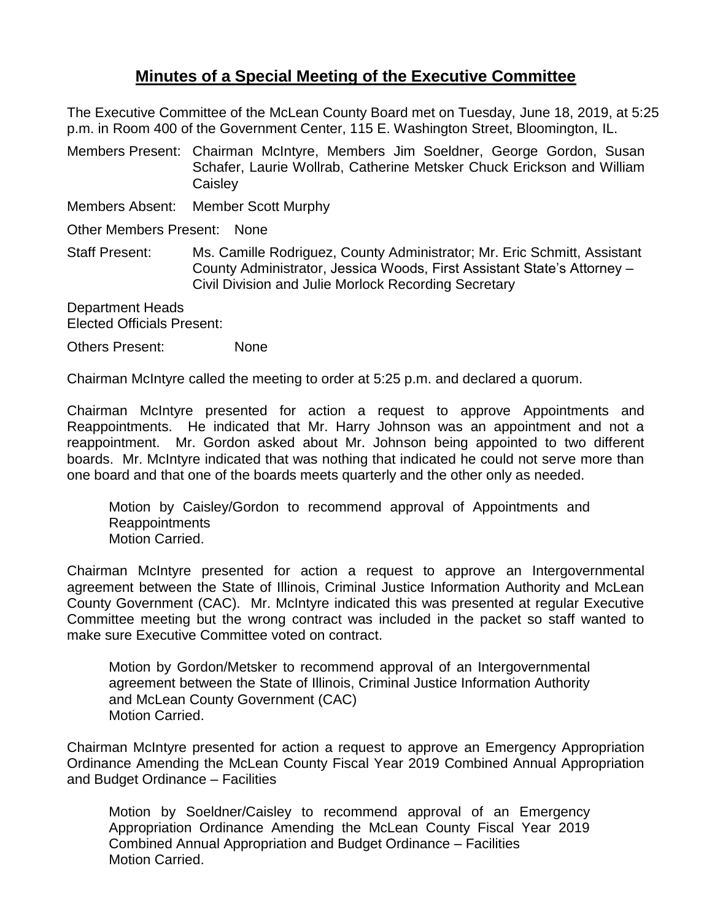## **Minutes of a Special Meeting of the Executive Committee**

The Executive Committee of the McLean County Board met on Tuesday, June 18, 2019, at 5:25 p.m. in Room 400 of the Government Center, 115 E. Washington Street, Bloomington, IL.

Members Present: Chairman McIntyre, Members Jim Soeldner, George Gordon, Susan Schafer, Laurie Wollrab, Catherine Metsker Chuck Erickson and William **Caisley** 

Members Absent: Member Scott Murphy

Other Members Present: None

Staff Present: Ms. Camille Rodriguez, County Administrator; Mr. Eric Schmitt, Assistant County Administrator, Jessica Woods, First Assistant State's Attorney – Civil Division and Julie Morlock Recording Secretary

Department Heads Elected Officials Present:

Others Present: None

Chairman McIntyre called the meeting to order at 5:25 p.m. and declared a quorum.

Chairman McIntyre presented for action a request to approve Appointments and Reappointments. He indicated that Mr. Harry Johnson was an appointment and not a reappointment. Mr. Gordon asked about Mr. Johnson being appointed to two different boards. Mr. McIntyre indicated that was nothing that indicated he could not serve more than one board and that one of the boards meets quarterly and the other only as needed.

Motion by Caisley/Gordon to recommend approval of Appointments and Reappointments Motion Carried.

Chairman McIntyre presented for action a request to approve an Intergovernmental agreement between the State of Illinois, Criminal Justice Information Authority and McLean County Government (CAC). Mr. McIntyre indicated this was presented at regular Executive Committee meeting but the wrong contract was included in the packet so staff wanted to make sure Executive Committee voted on contract.

Motion by Gordon/Metsker to recommend approval of an Intergovernmental agreement between the State of Illinois, Criminal Justice Information Authority and McLean County Government (CAC) Motion Carried.

Chairman McIntyre presented for action a request to approve an Emergency Appropriation Ordinance Amending the McLean County Fiscal Year 2019 Combined Annual Appropriation and Budget Ordinance – Facilities

Motion by Soeldner/Caisley to recommend approval of an Emergency Appropriation Ordinance Amending the McLean County Fiscal Year 2019 Combined Annual Appropriation and Budget Ordinance – Facilities Motion Carried.